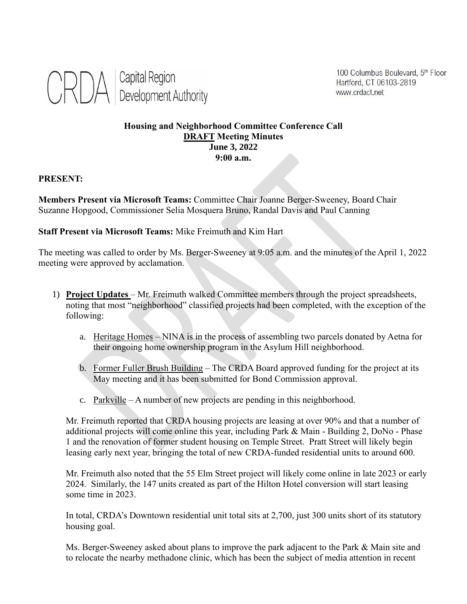

100 Columbus Boulevard, 5th Floor Hartford, CT 06103-2819 www.crdact.net

## **Housing and Neighborhood Committee Conference Call DRAFT Meeting Minutes June 3, 2022 9:00 a.m.**

## **PRESENT:**

**Members Present via Microsoft Teams:** Committee Chair Joanne Berger-Sweeney, Board Chair Suzanne Hopgood, Commissioner Selia Mosquera Bruno, Randal Davis and Paul Canning

**Staff Present via Microsoft Teams:** Mike Freimuth and Kim Hart

The meeting was called to order by Ms. Berger-Sweeney at 9:05 a.m. and the minutes of the April 1, 2022 meeting were approved by acclamation.

- 1) **Project Updates**  Mr. Freimuth walked Committee members through the project spreadsheets, noting that most "neighborhood" classified projects had been completed, with the exception of the following:
	- a. Heritage Homes NINA is in the process of assembling two parcels donated by Aetna for their ongoing home ownership program in the Asylum Hill neighborhood.
	- b. Former Fuller Brush Building The CRDA Board approved funding for the project at its May meeting and it has been submitted for Bond Commission approval.
	- c. Parkville A number of new projects are pending in this neighborhood.

Mr. Freimuth reported that CRDA housing projects are leasing at over 90% and that a number of additional projects will come online this year, including Park & Main - Building 2, DoNo - Phase 1 and the renovation of former student housing on Temple Street. Pratt Street will likely begin leasing early next year, bringing the total of new CRDA-funded residential units to around 600.

Mr. Freimuth also noted that the 55 Elm Street project will likely come online in late 2023 or early 2024. Similarly, the 147 units created as part of the Hilton Hotel conversion will start leasing some time in 2023.

In total, CRDA's Downtown residential unit total sits at 2,700, just 300 units short of its statutory housing goal.

Ms. Berger-Sweeney asked about plans to improve the park adjacent to the Park & Main site and to relocate the nearby methadone clinic, which has been the subject of media attention in recent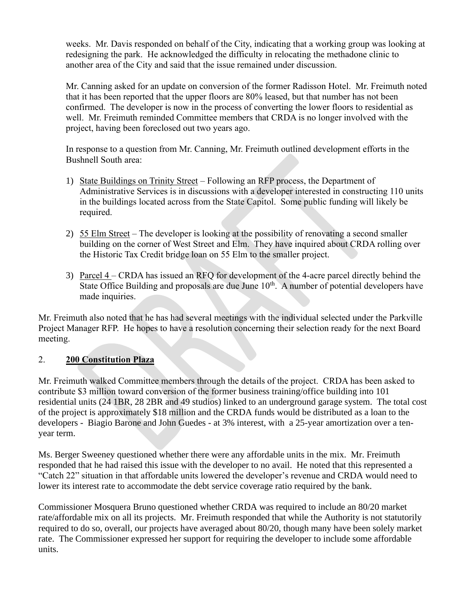weeks. Mr. Davis responded on behalf of the City, indicating that a working group was looking at redesigning the park. He acknowledged the difficulty in relocating the methadone clinic to another area of the City and said that the issue remained under discussion.

Mr. Canning asked for an update on conversion of the former Radisson Hotel. Mr. Freimuth noted that it has been reported that the upper floors are 80% leased, but that number has not been confirmed. The developer is now in the process of converting the lower floors to residential as well. Mr. Freimuth reminded Committee members that CRDA is no longer involved with the project, having been foreclosed out two years ago.

In response to a question from Mr. Canning, Mr. Freimuth outlined development efforts in the Bushnell South area:

- 1) State Buildings on Trinity Street Following an RFP process, the Department of Administrative Services is in discussions with a developer interested in constructing 110 units in the buildings located across from the State Capitol. Some public funding will likely be required.
- 2) 55 Elm Street The developer is looking at the possibility of renovating a second smaller building on the corner of West Street and Elm. They have inquired about CRDA rolling over the Historic Tax Credit bridge loan on 55 Elm to the smaller project.
- 3) Parcel 4 CRDA has issued an RFQ for development of the 4-acre parcel directly behind the State Office Building and proposals are due June  $10<sup>th</sup>$ . A number of potential developers have made inquiries.

Mr. Freimuth also noted that he has had several meetings with the individual selected under the Parkville Project Manager RFP. He hopes to have a resolution concerning their selection ready for the next Board meeting.

## 2. **200 Constitution Plaza**

Mr. Freimuth walked Committee members through the details of the project. CRDA has been asked to contribute \$3 million toward conversion of the former business training/office building into 101 residential units (24 1BR, 28 2BR and 49 studios) linked to an underground garage system. The total cost of the project is approximately \$18 million and the CRDA funds would be distributed as a loan to the developers - Biagio Barone and John Guedes - at 3% interest, with a 25-year amortization over a tenyear term.

Ms. Berger Sweeney questioned whether there were any affordable units in the mix. Mr. Freimuth responded that he had raised this issue with the developer to no avail. He noted that this represented a "Catch 22" situation in that affordable units lowered the developer's revenue and CRDA would need to lower its interest rate to accommodate the debt service coverage ratio required by the bank.

Commissioner Mosquera Bruno questioned whether CRDA was required to include an 80/20 market rate/affordable mix on all its projects. Mr. Freimuth responded that while the Authority is not statutorily required to do so, overall, our projects have averaged about 80/20, though many have been solely market rate. The Commissioner expressed her support for requiring the developer to include some affordable units.